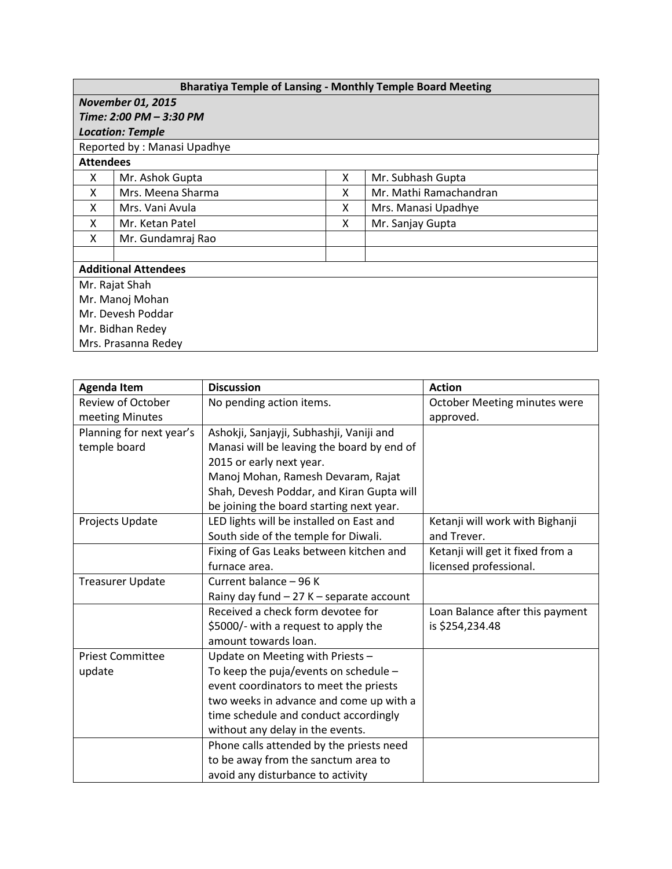| <b>Bharatiya Temple of Lansing - Monthly Temple Board Meeting</b> |                   |   |                        |  |  |  |  |
|-------------------------------------------------------------------|-------------------|---|------------------------|--|--|--|--|
| <b>November 01, 2015</b>                                          |                   |   |                        |  |  |  |  |
| Time: 2:00 PM - 3:30 PM                                           |                   |   |                        |  |  |  |  |
| <b>Location: Temple</b>                                           |                   |   |                        |  |  |  |  |
| Reported by: Manasi Upadhye                                       |                   |   |                        |  |  |  |  |
| <b>Attendees</b>                                                  |                   |   |                        |  |  |  |  |
| X                                                                 | Mr. Ashok Gupta   | X | Mr. Subhash Gupta      |  |  |  |  |
| X                                                                 | Mrs. Meena Sharma | X | Mr. Mathi Ramachandran |  |  |  |  |
| x                                                                 | Mrs. Vani Avula   | X | Mrs. Manasi Upadhye    |  |  |  |  |
| X                                                                 | Mr. Ketan Patel   | X | Mr. Sanjay Gupta       |  |  |  |  |
| X                                                                 | Mr. Gundamraj Rao |   |                        |  |  |  |  |
|                                                                   |                   |   |                        |  |  |  |  |
| <b>Additional Attendees</b>                                       |                   |   |                        |  |  |  |  |
| Mr. Rajat Shah                                                    |                   |   |                        |  |  |  |  |
| Mr. Manoj Mohan                                                   |                   |   |                        |  |  |  |  |
| Mr. Devesh Poddar                                                 |                   |   |                        |  |  |  |  |
| Mr. Bidhan Redey                                                  |                   |   |                        |  |  |  |  |
| Mrs. Prasanna Redey                                               |                   |   |                        |  |  |  |  |

| <b>Agenda Item</b>       | <b>Discussion</b>                          | <b>Action</b>                    |
|--------------------------|--------------------------------------------|----------------------------------|
| Review of October        | No pending action items.                   | October Meeting minutes were     |
| meeting Minutes          |                                            | approved.                        |
| Planning for next year's | Ashokji, Sanjayji, Subhashji, Vaniji and   |                                  |
| temple board             | Manasi will be leaving the board by end of |                                  |
|                          | 2015 or early next year.                   |                                  |
|                          | Manoj Mohan, Ramesh Devaram, Rajat         |                                  |
|                          | Shah, Devesh Poddar, and Kiran Gupta will  |                                  |
|                          | be joining the board starting next year.   |                                  |
| Projects Update          | LED lights will be installed on East and   | Ketanji will work with Bighanji  |
|                          | South side of the temple for Diwali.       | and Trever.                      |
|                          | Fixing of Gas Leaks between kitchen and    | Ketanji will get it fixed from a |
|                          | furnace area.                              | licensed professional.           |
| <b>Treasurer Update</b>  | Current balance - 96 K                     |                                  |
|                          | Rainy day fund - 27 K - separate account   |                                  |
|                          | Received a check form devotee for          | Loan Balance after this payment  |
|                          | \$5000/- with a request to apply the       | is \$254,234.48                  |
|                          | amount towards loan.                       |                                  |
| <b>Priest Committee</b>  | Update on Meeting with Priests -           |                                  |
| update                   | To keep the puja/events on schedule -      |                                  |
|                          | event coordinators to meet the priests     |                                  |
|                          | two weeks in advance and come up with a    |                                  |
|                          | time schedule and conduct accordingly      |                                  |
|                          | without any delay in the events.           |                                  |
|                          | Phone calls attended by the priests need   |                                  |
|                          | to be away from the sanctum area to        |                                  |
|                          | avoid any disturbance to activity          |                                  |